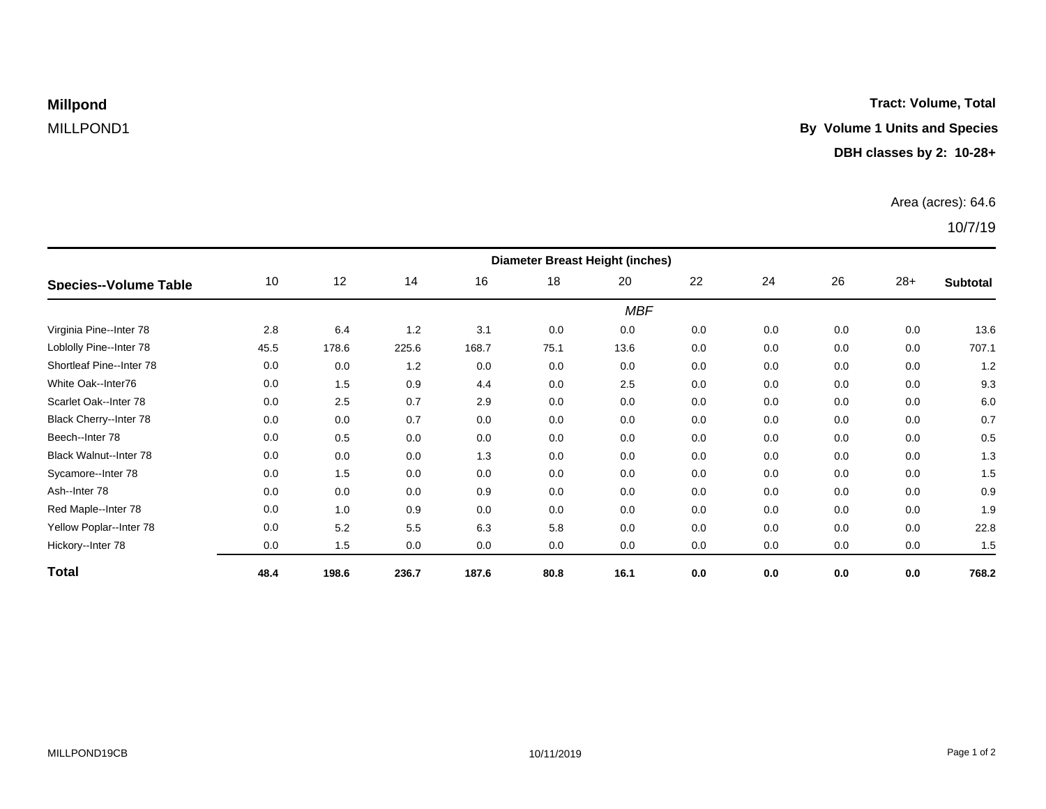**Millpond** 

## **Tract: Volume, Total**

# MILLPOND1 **By Volume 1 Units and Species**

### **DBH classes by 2: 10-28+**

### Area (acres): 64.6

## 10/7/19

| <b>Species--Volume Table</b>  | <b>Diameter Breast Height (inches)</b> |       |       |       |      |      |     |     |     |       |                 |  |
|-------------------------------|----------------------------------------|-------|-------|-------|------|------|-----|-----|-----|-------|-----------------|--|
|                               | 10                                     | 12    | 14    | 16    | 18   | 20   | 22  | 24  | 26  | $28+$ | <b>Subtotal</b> |  |
|                               | <b>MBF</b>                             |       |       |       |      |      |     |     |     |       |                 |  |
| Virginia Pine--Inter 78       | 2.8                                    | 6.4   | 1.2   | 3.1   | 0.0  | 0.0  | 0.0 | 0.0 | 0.0 | 0.0   | 13.6            |  |
| Loblolly Pine--Inter 78       | 45.5                                   | 178.6 | 225.6 | 168.7 | 75.1 | 13.6 | 0.0 | 0.0 | 0.0 | 0.0   | 707.1           |  |
| Shortleaf Pine--Inter 78      | 0.0                                    | 0.0   | 1.2   | 0.0   | 0.0  | 0.0  | 0.0 | 0.0 | 0.0 | 0.0   | 1.2             |  |
| White Oak--Inter76            | 0.0                                    | 1.5   | 0.9   | 4.4   | 0.0  | 2.5  | 0.0 | 0.0 | 0.0 | 0.0   | 9.3             |  |
| Scarlet Oak--Inter 78         | 0.0                                    | 2.5   | 0.7   | 2.9   | 0.0  | 0.0  | 0.0 | 0.0 | 0.0 | 0.0   | 6.0             |  |
| Black Cherry--Inter 78        | 0.0                                    | 0.0   | 0.7   | 0.0   | 0.0  | 0.0  | 0.0 | 0.0 | 0.0 | 0.0   | 0.7             |  |
| Beech--Inter 78               | 0.0                                    | 0.5   | 0.0   | 0.0   | 0.0  | 0.0  | 0.0 | 0.0 | 0.0 | 0.0   | 0.5             |  |
| <b>Black Walnut--Inter 78</b> | 0.0                                    | 0.0   | 0.0   | 1.3   | 0.0  | 0.0  | 0.0 | 0.0 | 0.0 | 0.0   | 1.3             |  |
| Sycamore--Inter 78            | 0.0                                    | 1.5   | 0.0   | 0.0   | 0.0  | 0.0  | 0.0 | 0.0 | 0.0 | 0.0   | 1.5             |  |
| Ash--Inter 78                 | 0.0                                    | 0.0   | 0.0   | 0.9   | 0.0  | 0.0  | 0.0 | 0.0 | 0.0 | 0.0   | 0.9             |  |
| Red Maple--Inter 78           | 0.0                                    | 1.0   | 0.9   | 0.0   | 0.0  | 0.0  | 0.0 | 0.0 | 0.0 | 0.0   | 1.9             |  |
| Yellow Poplar--Inter 78       | 0.0                                    | 5.2   | 5.5   | 6.3   | 5.8  | 0.0  | 0.0 | 0.0 | 0.0 | 0.0   | 22.8            |  |
| Hickory--Inter 78             | 0.0                                    | 1.5   | 0.0   | 0.0   | 0.0  | 0.0  | 0.0 | 0.0 | 0.0 | 0.0   | 1.5             |  |
| <b>Total</b>                  | 48.4                                   | 198.6 | 236.7 | 187.6 | 80.8 | 16.1 | 0.0 | 0.0 | 0.0 | 0.0   | 768.2           |  |